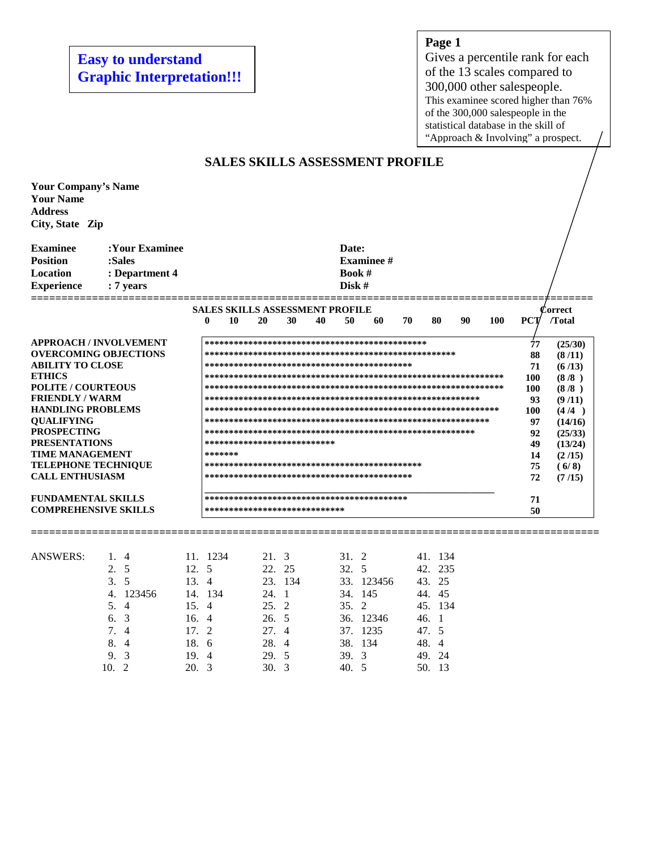**Easy to understand Graphic Interpretation!!!** 

# **Page 1**

Gives a percentile rank for each of the 13 scales compared to 300,000 other salespeople. This examinee scored higher than 76% of the 300,000 salespeople in the statistical database in the skill of "Approach & Involving" a prospect.

| <b>SALES SKILLS ASSESSMENT PROFILE</b>                                                                                                                                                                                                                                                                                                       |                                                                                                                                          |                                                                                                        |                                                                                                                                           |                                                                                                     |                                                                                        |     |         |  |  |  |  |
|----------------------------------------------------------------------------------------------------------------------------------------------------------------------------------------------------------------------------------------------------------------------------------------------------------------------------------------------|------------------------------------------------------------------------------------------------------------------------------------------|--------------------------------------------------------------------------------------------------------|-------------------------------------------------------------------------------------------------------------------------------------------|-----------------------------------------------------------------------------------------------------|----------------------------------------------------------------------------------------|-----|---------|--|--|--|--|
| <b>Your Company's Name</b><br><b>Your Name</b><br><b>Address</b><br>City, State Zip                                                                                                                                                                                                                                                          |                                                                                                                                          |                                                                                                        |                                                                                                                                           |                                                                                                     |                                                                                        |     |         |  |  |  |  |
| <b>Examinee</b><br><b>Position</b><br><b>Location</b><br><b>Experience</b>                                                                                                                                                                                                                                                                   | :Your Examinee<br>:Sales<br>: Department 4<br>: 7 years                                                                                  |                                                                                                        |                                                                                                                                           | Date:<br><b>Examinee</b> #<br><b>Book</b> $#$<br>Disk #                                             |                                                                                        |     |         |  |  |  |  |
|                                                                                                                                                                                                                                                                                                                                              |                                                                                                                                          |                                                                                                        | <b>SALES SKILLS ASSESSMENT PROFILE</b>                                                                                                    |                                                                                                     |                                                                                        |     | 'orrect |  |  |  |  |
|                                                                                                                                                                                                                                                                                                                                              |                                                                                                                                          | 0<br>10                                                                                                | 20<br>30                                                                                                                                  | 40<br>50<br>60                                                                                      | 70<br>80<br>90<br><b>100</b>                                                           | PCT | /Total  |  |  |  |  |
| <b>ABILITY TO CLOSE</b><br><b>ETHICS</b><br><b>POLITE / COURTEOUS</b><br><b>FRIENDLY / WARM</b><br><b>HANDLING PROBLEMS</b><br><b>OUALIFYING</b><br><b>PROSPECTING</b><br><b>PRESENTATIONS</b><br><b>TIME MANAGEMENT</b><br><b>TELEPHONE TECHNIQUE</b><br><b>CALL ENTHUSIASM</b><br><b>FUNDAMENTAL SKILLS</b><br><b>COMPREHENSIVE SKILLS</b> | <b>APPROACH / INVOLVEMENT</b><br><b>OVERCOMING OBJECTIONS</b>                                                                            | *******                                                                                                | ***************************<br>*****************************                                                                              |                                                                                                     |                                                                                        |     |         |  |  |  |  |
| <b>ANSWERS:</b>                                                                                                                                                                                                                                                                                                                              | 1, 4<br>5<br>2.<br>5<br>3.<br>123456<br>4.<br>$\overline{4}$<br>5.<br>3<br>6.<br>7.<br>$\overline{4}$<br>8.<br>$\overline{4}$<br>3<br>9. | 11. 1234<br>12. 5<br>13.4<br>14. 134<br>15.<br>$\overline{4}$<br>16.4<br>17.<br>2<br>18.<br>6<br>19. 4 | 21.3<br>25<br>22.<br>23. 134<br>24.<br>$\overline{1}$<br>25.<br>2<br>26.<br>-5<br>27.<br>$\overline{4}$<br>28.<br>$\overline{4}$<br>29. 5 | 31. 2<br>32. 5<br>33. 123456<br>34. 145<br>2<br>35.<br>36. 12346<br>37. 1235<br>38.<br>134<br>39. 3 | 41. 134<br>42. 235<br>43. 25<br>44. 45<br>45. 134<br>46. 1<br>47. 5<br>48. 4<br>49. 24 |     |         |  |  |  |  |

9. 3 19. 4 29. 5 39. 3 49. 24<br>10. 2 20. 3 30. 3 40. 5 50. 13

40. 5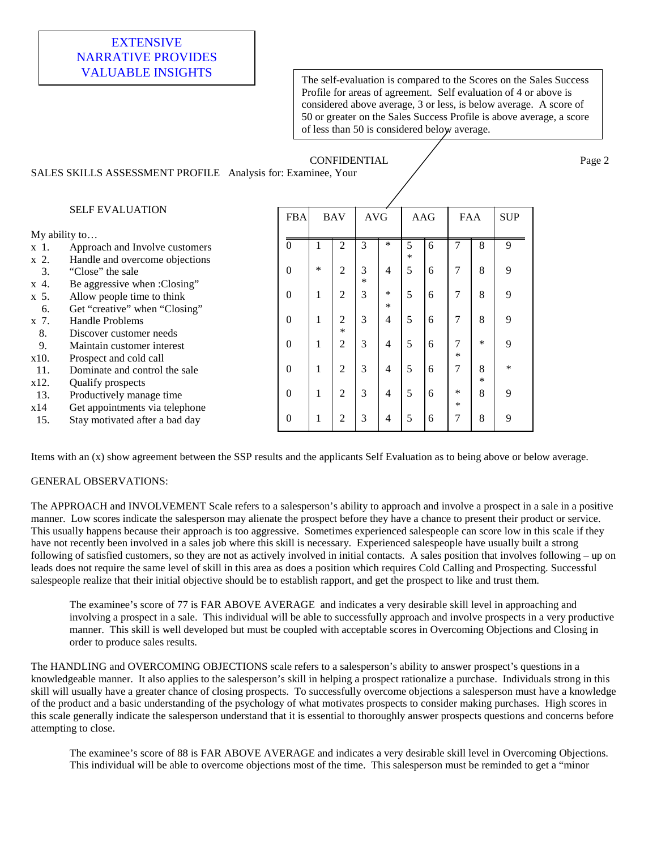# EXTENSIVE NARRATIVE PROVIDES

VALUABLE INSIGHTS The self-evaluation is compared to the Scores on the Sales Success Profile for areas of agreement. Self evaluation of 4 or above is considered above average, 3 or less, is below average. A score of 50 or greater on the Sales Success Profile is above average, a score of less than 50 is considered below average.

#### CONFIDENTIAL / Page 2 SALES SKILLS ASSESSMENT PROFILE Analysis for: Examinee, Your

|                 | <b>SELF EVALUATION</b>         |                |              | <b>BAV</b>     | AVG    |                | AAG |   | <b>FAA</b> |        | <b>SUP</b> |
|-----------------|--------------------------------|----------------|--------------|----------------|--------|----------------|-----|---|------------|--------|------------|
| $My$ ability to |                                |                |              |                |        |                |     |   |            |        |            |
| x 1.            | Approach and Involve customers | $\Omega$       |              | $\overline{c}$ | 3      | $\ast$         | 5   | 6 |            | 8      | 9          |
| x 2.            | Handle and overcome objections |                |              |                |        |                | *   |   |            |        |            |
| 3.              | "Close" the sale               | $\Omega$       | $\ast$       | $\overline{c}$ | 3      | 4              | 5   | 6 | 7          | 8      | 9          |
| x 4.            | Be aggressive when :Closing"   |                |              |                | $\ast$ |                |     |   |            |        |            |
| x 5.            | Allow people time to think     | $\Omega$       | 1            | $\overline{2}$ | 3      | *              | 5   | 6 | 7          | 8      | 9          |
| 6.              | Get "creative" when "Closing"  |                |              |                |        | $\ast$         |     |   |            |        |            |
| x 7.            | Handle Problems                | $\Omega$       | $\mathbf{I}$ | $\overline{c}$ | 3      | $\overline{4}$ | 5   | 6 | 7          | 8      | 9          |
| 8.              | Discover customer needs        |                |              | $\ast$         |        |                |     |   |            |        |            |
| 9.              | Maintain customer interest     | $\Omega$       | 1            | $\overline{2}$ | 3      | $\overline{4}$ | 5   | 6 | 7          | $\ast$ | 9          |
| x10.            | Prospect and cold call         |                |              |                |        |                |     |   | $\ast$     |        |            |
| 11.             | Dominate and control the sale  | $\Omega$       | $\mathbf{I}$ | $\mathfrak{2}$ | 3      | $\overline{4}$ | 5   | 6 | 7          | 8      | *          |
| x12.            | Qualify prospects              |                |              |                |        |                |     |   |            | ×      |            |
| 13.             | Productively manage time       | $\Omega$       | 1            | $\overline{2}$ | 3      | 4              | 5   | 6 | $\ast$     | 8      | 9          |
| x14             | Get appointments via telephone |                |              |                |        |                |     |   | $\ast$     |        |            |
| 15.             | Stay motivated after a bad day | $\overline{0}$ | -1           | 2              | 3      | 4              | 5   | 6 | 7          | 8      | 9          |

Items with an (x) show agreement between the SSP results and the applicants Self Evaluation as to being above or below average.

## GENERAL OBSERVATIONS:

The APPROACH and INVOLVEMENT Scale refers to a salesperson's ability to approach and involve a prospect in a sale in a positive manner. Low scores indicate the salesperson may alienate the prospect before they have a chance to present their product or service. This usually happens because their approach is too aggressive. Sometimes experienced salespeople can score low in this scale if they have not recently been involved in a sales job where this skill is necessary. Experienced salespeople have usually built a strong following of satisfied customers, so they are not as actively involved in initial contacts. A sales position that involves following – up on leads does not require the same level of skill in this area as does a position which requires Cold Calling and Prospecting. Successful salespeople realize that their initial objective should be to establish rapport, and get the prospect to like and trust them.

The examinee's score of 77 is FAR ABOVE AVERAGE and indicates a very desirable skill level in approaching and involving a prospect in a sale. This individual will be able to successfully approach and involve prospects in a very productive manner. This skill is well developed but must be coupled with acceptable scores in Overcoming Objections and Closing in order to produce sales results.

The HANDLING and OVERCOMING OBJECTIONS scale refers to a salesperson's ability to answer prospect's questions in a knowledgeable manner. It also applies to the salesperson's skill in helping a prospect rationalize a purchase. Individuals strong in this skill will usually have a greater chance of closing prospects. To successfully overcome objections a salesperson must have a knowledge of the product and a basic understanding of the psychology of what motivates prospects to consider making purchases. High scores in this scale generally indicate the salesperson understand that it is essential to thoroughly answer prospects questions and concerns before attempting to close.

The examinee's score of 88 is FAR ABOVE AVERAGE and indicates a very desirable skill level in Overcoming Objections. This individual will be able to overcome objections most of the time. This salesperson must be reminded to get a "minor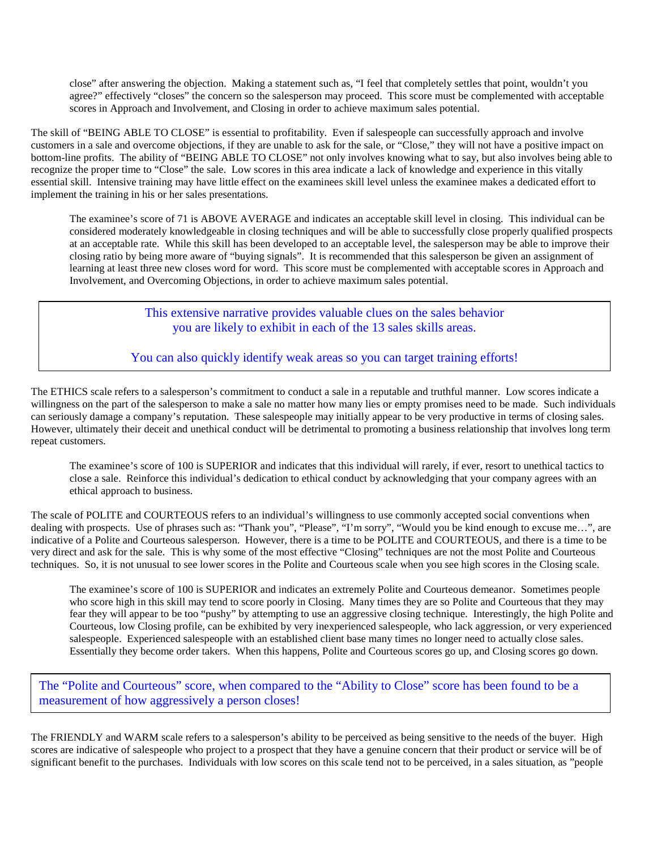close" after answering the objection. Making a statement such as, "I feel that completely settles that point, wouldn't you agree?" effectively "closes" the concern so the salesperson may proceed. This score must be complemented with acceptable scores in Approach and Involvement, and Closing in order to achieve maximum sales potential.

The skill of "BEING ABLE TO CLOSE" is essential to profitability. Even if salespeople can successfully approach and involve customers in a sale and overcome objections, if they are unable to ask for the sale, or "Close," they will not have a positive impact on bottom-line profits. The ability of "BEING ABLE TO CLOSE" not only involves knowing what to say, but also involves being able to recognize the proper time to "Close" the sale. Low scores in this area indicate a lack of knowledge and experience in this vitally essential skill. Intensive training may have little effect on the examinees skill level unless the examinee makes a dedicated effort to implement the training in his or her sales presentations.

The examinee's score of 71 is ABOVE AVERAGE and indicates an acceptable skill level in closing. This individual can be considered moderately knowledgeable in closing techniques and will be able to successfully close properly qualified prospects at an acceptable rate. While this skill has been developed to an acceptable level, the salesperson may be able to improve their closing ratio by being more aware of "buying signals". It is recommended that this salesperson be given an assignment of learning at least three new closes word for word. This score must be complemented with acceptable scores in Approach and Involvement, and Overcoming Objections, in order to achieve maximum sales potential.

> This extensive narrative provides valuable clues on the sales behavior you are likely to exhibit in each of the 13 sales skills areas.

You can also quickly identify weak areas so you can target training efforts!

The ETHICS scale refers to a salesperson's commitment to conduct a sale in a reputable and truthful manner. Low scores indicate a willingness on the part of the salesperson to make a sale no matter how many lies or empty promises need to be made. Such individuals can seriously damage a company's reputation. These salespeople may initially appear to be very productive in terms of closing sales. However, ultimately their deceit and unethical conduct will be detrimental to promoting a business relationship that involves long term repeat customers.

The examinee's score of 100 is SUPERIOR and indicates that this individual will rarely, if ever, resort to unethical tactics to close a sale. Reinforce this individual's dedication to ethical conduct by acknowledging that your company agrees with an ethical approach to business.

The scale of POLITE and COURTEOUS refers to an individual's willingness to use commonly accepted social conventions when dealing with prospects. Use of phrases such as: "Thank you", "Please", "I'm sorry", "Would you be kind enough to excuse me…", are indicative of a Polite and Courteous salesperson. However, there is a time to be POLITE and COURTEOUS, and there is a time to be very direct and ask for the sale. This is why some of the most effective "Closing" techniques are not the most Polite and Courteous techniques. So, it is not unusual to see lower scores in the Polite and Courteous scale when you see high scores in the Closing scale.

The examinee's score of 100 is SUPERIOR and indicates an extremely Polite and Courteous demeanor. Sometimes people who score high in this skill may tend to score poorly in Closing. Many times they are so Polite and Courteous that they may fear they will appear to be too "pushy" by attempting to use an aggressive closing technique. Interestingly, the high Polite and Courteous, low Closing profile, can be exhibited by very inexperienced salespeople, who lack aggression, or very experienced salespeople. Experienced salespeople with an established client base many times no longer need to actually close sales. Essentially they become order takers. When this happens, Polite and Courteous scores go up, and Closing scores go down.

The "Polite and Courteous" score, when compared to the "Ability to Close" score has been found to be a measurement of how aggressively a person closes!

The FRIENDLY and WARM scale refers to a salesperson's ability to be perceived as being sensitive to the needs of the buyer. High scores are indicative of salespeople who project to a prospect that they have a genuine concern that their product or service will be of significant benefit to the purchases. Individuals with low scores on this scale tend not to be perceived, in a sales situation, as "people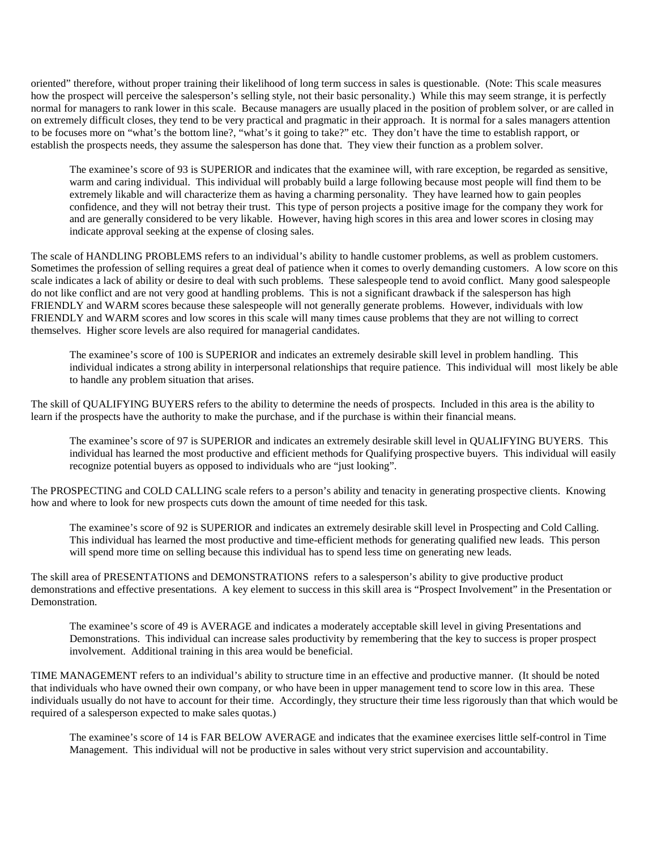oriented" therefore, without proper training their likelihood of long term success in sales is questionable. (Note: This scale measures how the prospect will perceive the salesperson's selling style, not their basic personality.) While this may seem strange, it is perfectly normal for managers to rank lower in this scale. Because managers are usually placed in the position of problem solver, or are called in on extremely difficult closes, they tend to be very practical and pragmatic in their approach. It is normal for a sales managers attention to be focuses more on "what's the bottom line?, "what's it going to take?" etc. They don't have the time to establish rapport, or establish the prospects needs, they assume the salesperson has done that. They view their function as a problem solver.

The examinee's score of 93 is SUPERIOR and indicates that the examinee will, with rare exception, be regarded as sensitive, warm and caring individual. This individual will probably build a large following because most people will find them to be extremely likable and will characterize them as having a charming personality. They have learned how to gain peoples confidence, and they will not betray their trust. This type of person projects a positive image for the company they work for and are generally considered to be very likable. However, having high scores in this area and lower scores in closing may indicate approval seeking at the expense of closing sales.

The scale of HANDLING PROBLEMS refers to an individual's ability to handle customer problems, as well as problem customers. Sometimes the profession of selling requires a great deal of patience when it comes to overly demanding customers. A low score on this scale indicates a lack of ability or desire to deal with such problems. These salespeople tend to avoid conflict. Many good salespeople do not like conflict and are not very good at handling problems. This is not a significant drawback if the salesperson has high FRIENDLY and WARM scores because these salespeople will not generally generate problems. However, individuals with low FRIENDLY and WARM scores and low scores in this scale will many times cause problems that they are not willing to correct themselves. Higher score levels are also required for managerial candidates.

The examinee's score of 100 is SUPERIOR and indicates an extremely desirable skill level in problem handling. This individual indicates a strong ability in interpersonal relationships that require patience. This individual will most likely be able to handle any problem situation that arises.

The skill of QUALIFYING BUYERS refers to the ability to determine the needs of prospects. Included in this area is the ability to learn if the prospects have the authority to make the purchase, and if the purchase is within their financial means.

The examinee's score of 97 is SUPERIOR and indicates an extremely desirable skill level in QUALIFYING BUYERS. This individual has learned the most productive and efficient methods for Qualifying prospective buyers. This individual will easily recognize potential buyers as opposed to individuals who are "just looking".

The PROSPECTING and COLD CALLING scale refers to a person's ability and tenacity in generating prospective clients. Knowing how and where to look for new prospects cuts down the amount of time needed for this task.

The examinee's score of 92 is SUPERIOR and indicates an extremely desirable skill level in Prospecting and Cold Calling. This individual has learned the most productive and time-efficient methods for generating qualified new leads. This person will spend more time on selling because this individual has to spend less time on generating new leads.

The skill area of PRESENTATIONS and DEMONSTRATIONS refers to a salesperson's ability to give productive product demonstrations and effective presentations. A key element to success in this skill area is "Prospect Involvement" in the Presentation or Demonstration.

The examinee's score of 49 is AVERAGE and indicates a moderately acceptable skill level in giving Presentations and Demonstrations. This individual can increase sales productivity by remembering that the key to success is proper prospect involvement. Additional training in this area would be beneficial.

TIME MANAGEMENT refers to an individual's ability to structure time in an effective and productive manner. (It should be noted that individuals who have owned their own company, or who have been in upper management tend to score low in this area. These individuals usually do not have to account for their time. Accordingly, they structure their time less rigorously than that which would be required of a salesperson expected to make sales quotas.)

The examinee's score of 14 is FAR BELOW AVERAGE and indicates that the examinee exercises little self-control in Time Management. This individual will not be productive in sales without very strict supervision and accountability.